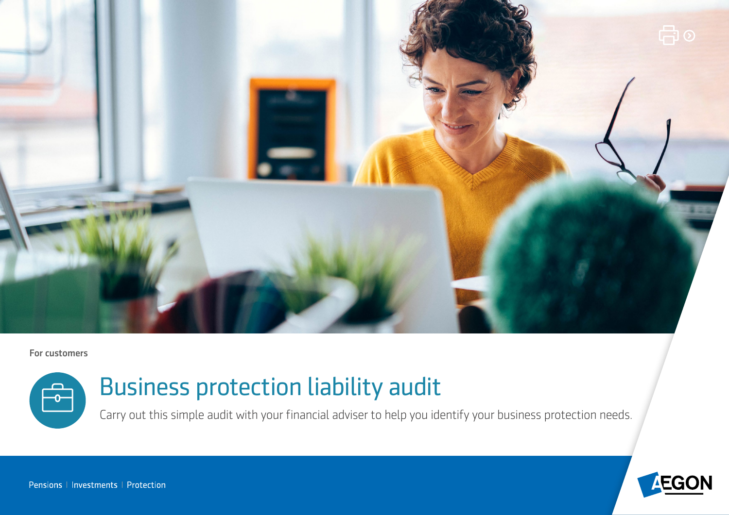

#### For customers



# Business protection liability audit

Carry out this simple audit with your financial adviser to help you identify your business protection needs.

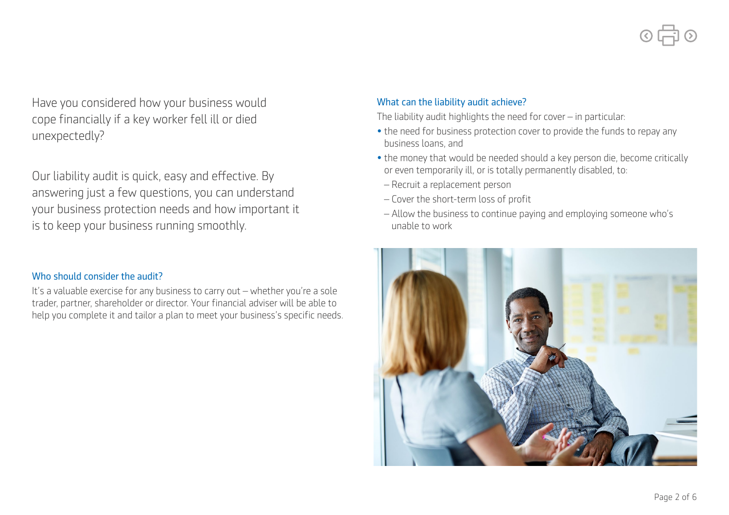Have you considered how your business would cope fnancially if a key worker fell ill or died unexpectedly?

Our liability audit is quick, easy and efective. By answering just a few questions, you can understand your business protection needs and how important it is to keep your business running smoothly.

## Who should consider the audit?

It's a valuable exercise for any business to carry out – whether you're a sole trader, partner, shareholder or director. Your fnancial adviser will be able to help you complete it and tailor a plan to meet your business's specific needs.

## What can the liability audit achieve?

The liability audit highlights the need for cover – in particular:

- the need for business protection cover to provide the funds to repay any business loans, and
- the money that would be needed should a key person die, become critically or even temporarily ill, or is totally permanently disabled, to:
- Recruit a replacement person
- Cover the short-term loss of proft
- Allow the business to continue paying and employing someone who's unable to work

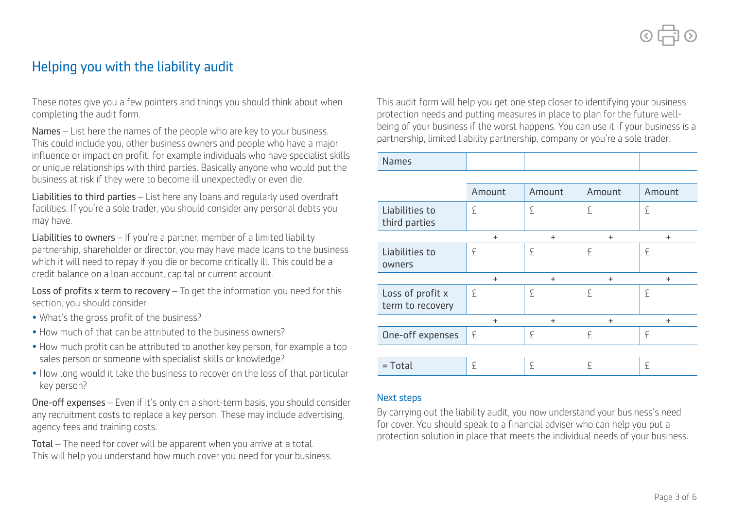# Helping you with the liability audit

These notes give you a few pointers and things you should think about when completing the audit form.

Names – List here the names of the people who are key to your business. This could include you, other business owners and people who have a major influence or impact on profit, for example individuals who have specialist skills or unique relationships with third parties. Basically anyone who would put the business at risk if they were to become ill unexpectedly or even die.

Liabilities to third parties – List here any loans and regularly used overdraft facilities. If you're a sole trader, you should consider any personal debts you may have.

Liabilities to owners - If you're a partner, member of a limited liability partnership, shareholder or director, you may have made loans to the business which it will need to repay if you die or become critically ill. This could be a credit balance on a loan account, capital or current account.

Loss of profits x term to recovery  $-$  To get the information you need for this section, you should consider:

- What's the gross profit of the business?
- How much of that can be attributed to the business owners?
- How much profit can be attributed to another key person, for example a top sales person or someone with specialist skills or knowledge?
- How long would it take the business to recover on the loss of that particular key person?

One-off expenses – Even if it's only on a short-term basis, you should consider any recruitment costs to replace a key person. These may include advertising, agency fees and training costs.

Total – The need for cover will be apparent when you arrive at a total. This will help you understand how much cover you need for your business. This audit form will help you get one step closer to identifying your business protection needs and putting measures in place to plan for the future wellbeing of your business if the worst happens. You can use it if your business is a partnership, limited liability partnership, company or you're a sole trader.

Names

|                                      | Amount | Amount    | Amount    | Amount |
|--------------------------------------|--------|-----------|-----------|--------|
| Liabilities to<br>third parties      | £      | £         | £         | £      |
|                                      | $+$    | $+$       | $\ddot{}$ | $+$    |
| Liabilities to<br>owners             | £      | £         | £         | £      |
|                                      | $+$    | $\ddot{}$ | $\ddot{}$ | $+$    |
| Loss of profit x<br>term to recovery | £      | £         | £         | £      |
|                                      | $+$    | $+$       | $\ddot{}$ | $+$    |
| One-off expenses                     | £      | £         | £         | £      |
|                                      |        |           |           |        |
| $=$ Total                            | £      | £         | £         | £      |

#### Next steps

By carrying out the liability audit, you now understand your business's need for cover. You should speak to a fnancial adviser who can help you put a protection solution in place that meets the individual needs of your business.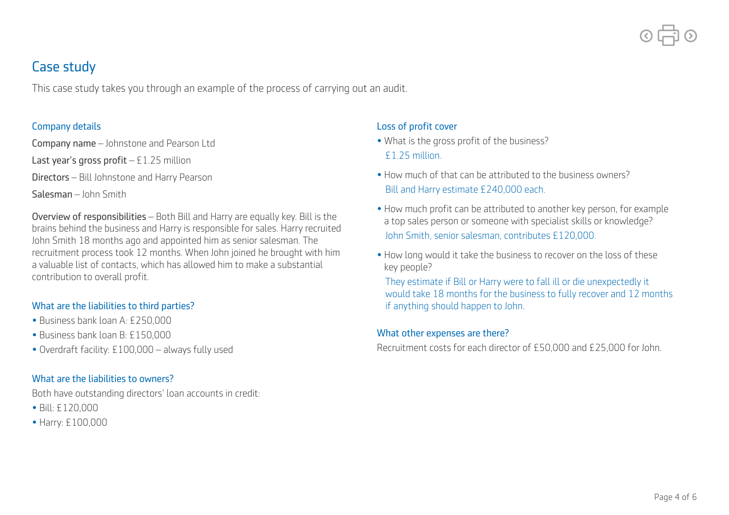

# Case study

This case study takes you through an example of the process of carrying out an audit.

#### Company details

Company name – Johnstone and Pearson Ltd

Last year's gross profit  $-51.25$  million

Directors – Bill Johnstone and Harry Pearson

Salesman – John Smith

Overview of responsibilities – Both Bill and Harry are equally key. Bill is the brains behind the business and Harry is responsible for sales. Harry recruited John Smith 18 months ago and appointed him as senior salesman. The recruitment process took 12 months. When John joined he brought with him a valuable list of contacts, which has allowed him to make a substantial contribution to overall profit.

## What are the liabilities to third parties?

- Business bank loan A: £250,000
- Business bank loan B: £150,000
- Overdraft facility: £100,000 always fully used

# What are the liabilities to owners?

Both have outstanding directors' loan accounts in credit:

- Bill: £120,000
- Harry: £100,000

## Loss of profit cover

- What is the gross profit of the business? £1.25 million.
- How much of that can be attributed to the business owners? Bill and Harry estimate £240,000 each.
- How much profit can be attributed to another key person, for example a top sales person or someone with specialist skills or knowledge? John Smith, senior salesman, contributes £120,000.
- How long would it take the business to recover on the loss of these key people?

They estimate if Bill or Harry were to fall ill or die unexpectedly it would take 18 months for the business to fully recover and 12 months if anything should happen to John.

## What other expenses are there?

Recruitment costs for each director of £50,000 and £25,000 for John.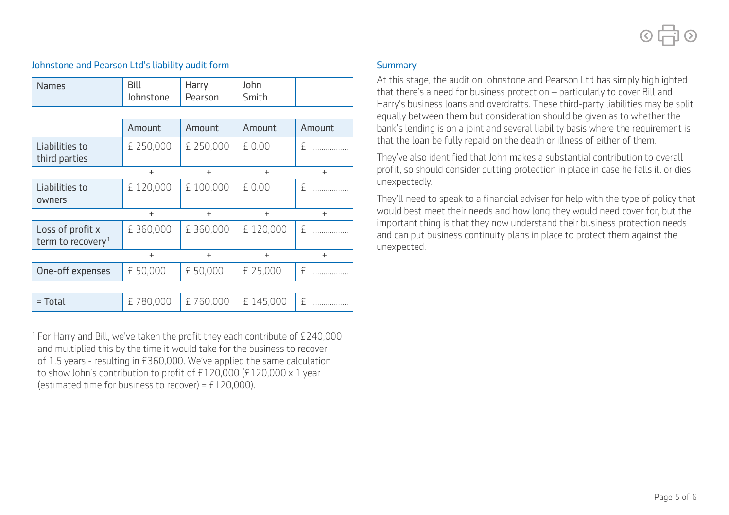

| <b>Names</b>                                      | <b>Bill</b><br>Johnstone | Harry<br>Pearson | John<br>Smith |                   |
|---------------------------------------------------|--------------------------|------------------|---------------|-------------------|
|                                                   |                          |                  |               |                   |
|                                                   | Amount                   | Amount           | Amount        | Amount            |
| Liabilities to<br>third parties                   | £ 250,000                | £ 250,000        | £ 0.00        | £<br>.            |
|                                                   | $\ddot{}$                | $\ddot{}$        | $+$           | $+$               |
| Liabilities to<br>owners                          | £120,000                 | £ 100,000        | £ 0.00        | £                 |
|                                                   | $\ddot{}$                | $\ddot{}$        | $+$           | $+$               |
| Loss of profit x<br>term to recovery <sup>1</sup> | £360,000                 | £360,000         | £120,000      | £                 |
|                                                   | $\ddot{}$                | $\ddot{}$        | $+$           | $+$               |
| One-off expenses                                  | £ 50,000                 | £ 50,000         | £ 25,000      | £                 |
|                                                   |                          |                  |               |                   |
| = Total                                           | £780,000                 | £760,000         | £145,000      | £<br>. <b>.</b> . |

#### Johnstone and Pearson Ltd's liability audit form

 $1$  For Harry and Bill, we've taken the profit they each contribute of £240,000 and multiplied this by the time it would take for the business to recover of 1.5 years - resulting in £360,000. We've applied the same calculation to show John's contribution to profit of £120,000 (£120,000 x 1 year (estimated time for business to recover) =  $£120,000$ ).

#### **Summary**

At this stage, the audit on Johnstone and Pearson Ltd has simply highlighted that there's a need for business protection – particularly to cover Bill and Harry's business loans and overdrafts. These third-party liabilities may be split equally between them but consideration should be given as to whether the bank's lending is on a joint and several liability basis where the requirement is that the loan be fully repaid on the death or illness of either of them.

They've also identified that John makes a substantial contribution to overall profit, so should consider putting protection in place in case he falls ill or dies unexpectedly.

They'll need to speak to a financial adviser for help with the type of policy that would best meet their needs and how long they would need cover for, but the + important thing is that they now understand their business protection needs and can put business continuity plans in place to protect them against the unexpected.